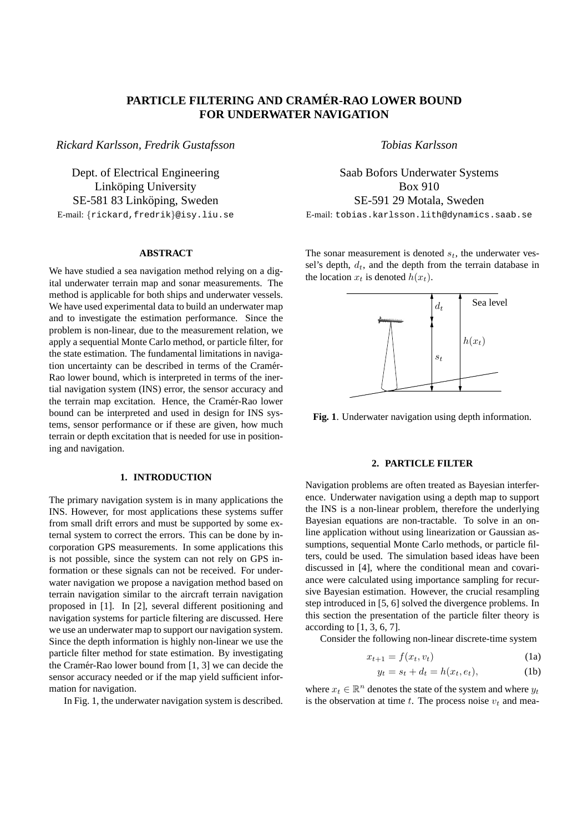# **PARTICLE FILTERING AND CRAMER-RAO LOWER BOUND ´ FOR UNDERWATER NAVIGATION**

*Rickard Karlsson, Fredrik Gustafsson*

Dept. of Electrical Engineering Linköping University SE-581 83 Linköping, Sweden E-mail: {rickard,fredrik}@isy.liu.se

#### **ABSTRACT**

We have studied a sea navigation method relying on a digital underwater terrain map and sonar measurements. The method is applicable for both ships and underwater vessels. We have used experimental data to build an underwater map and to investigate the estimation performance. Since the problem is non-linear, due to the measurement relation, we apply a sequential Monte Carlo method, or particle filter, for the state estimation. The fundamental limitations in navigation uncertainty can be described in terms of the Cramér-Rao lower bound, which is interpreted in terms of the inertial navigation system (INS) error, the sensor accuracy and the terrain map excitation. Hence, the Cramér-Rao lower bound can be interpreted and used in design for INS systems, sensor performance or if these are given, how much terrain or depth excitation that is needed for use in positioning and navigation.

### **1. INTRODUCTION**

The primary navigation system is in many applications the INS. However, for most applications these systems suffer from small drift errors and must be supported by some external system to correct the errors. This can be done by incorporation GPS measurements. In some applications this is not possible, since the system can not rely on GPS information or these signals can not be received. For underwater navigation we propose a navigation method based on terrain navigation similar to the aircraft terrain navigation proposed in [1]. In [2], several different positioning and navigation systems for particle filtering are discussed. Here we use an underwater map to support our navigation system. Since the depth information is highly non-linear we use the particle filter method for state estimation. By investigating the Cramér-Rao lower bound from  $[1, 3]$  we can decide the sensor accuracy needed or if the map yield sufficient information for navigation.

In Fig. 1, the underwater navigation system is described.

*Tobias Karlsson*

Saab Bofors Underwater Systems Box 910 SE-591 29 Motala, Sweden E-mail: tobias.karlsson.lith@dynamics.saab.se

The sonar measurement is denoted  $s_t$ , the underwater vessel's depth,  $d_t$ , and the depth from the terrain database in

the location  $x_t$  is denoted  $h(x_t)$ .



**Fig. 1**. Underwater navigation using depth information.

# **2. PARTICLE FILTER**

Navigation problems are often treated as Bayesian interference. Underwater navigation using a depth map to support the INS is a non-linear problem, therefore the underlying Bayesian equations are non-tractable. To solve in an online application without using linearization or Gaussian assumptions, sequential Monte Carlo methods, or particle filters, could be used. The simulation based ideas have been discussed in [4], where the conditional mean and covariance were calculated using importance sampling for recursive Bayesian estimation. However, the crucial resampling step introduced in [5, 6] solved the divergence problems. In this section the presentation of the particle filter theory is according to  $[1, 3, 6, 7]$ .

Consider the following non-linear discrete-time system

$$
x_{t+1} = f(x_t, v_t) \tag{1a}
$$

$$
y_t = s_t + d_t = h(x_t, e_t), \tag{1b}
$$

where  $x_t \in \mathbb{R}^n$  denotes the state of the system and where  $y_t$ is the observation at time t. The process noise  $v_t$  and mea-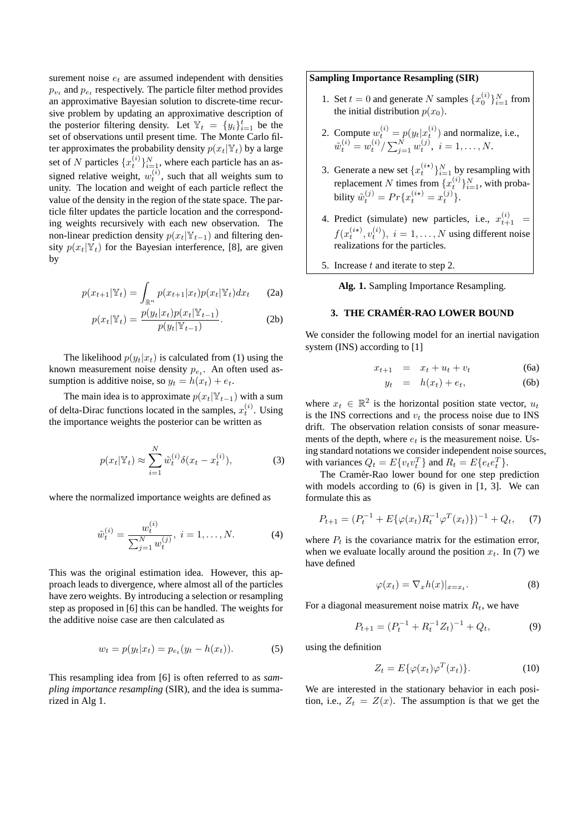surement noise  $e_t$  are assumed independent with densities  $p_{v_t}$  and  $p_{e_t}$  respectively. The particle filter method provides an approximative Bayesian solution to discrete-time recursive problem by updating an approximative description of the posterior filtering density. Let  $\mathbb{Y}_t = \{y_i\}_{i=1}^t$  be the set of observations until present time. The Monte Carlo filter approximates the probability density  $p(x_t|\mathbb{Y}_t)$  by a large set of N particles  $\{x_t^{(i)}\}_{i=1}^N$ , where each particle has an assigned relative weight,  $w_t^{(i)}$ , such that all weights sum to unity. The location and weight of each particle reflect the value of the density in the region of the state space. The particle filter updates the particle location and the corresponding weights recursively with each new observation. The non-linear prediction density  $p(x_t|Y_{t-1})$  and filtering density  $p(x_t|\mathbb{Y}_t)$  for the Bayesian interference, [8], are given by

$$
p(x_{t+1}|\mathbb{Y}_t) = \int_{\mathbb{R}^n} p(x_{t+1}|x_t) p(x_t|\mathbb{Y}_t) dx_t
$$
 (2a)

$$
p(x_t|\mathbb{Y}_t) = \frac{p(y_t|x_t)p(x_t|\mathbb{Y}_{t-1})}{p(y_t|\mathbb{Y}_{t-1})}.
$$
 (2b)

The likelihood  $p(y_t|x_t)$  is calculated from (1) using the known measurement noise density  $p_{e_t}$ . An often used assumption is additive noise, so  $y_t = h(x_t) + e_t$ .

The main idea is to approximate  $p(x_t|Y_{t-1})$  with a sum of delta-Dirac functions located in the samples,  $x_t^{(i)}$ . Using the importance weights the posterior can be written as

$$
p(x_t|\mathbb{Y}_t) \approx \sum_{i=1}^N \tilde{w}_t^{(i)} \delta(x_t - x_t^{(i)}),
$$
 (3)

where the normalized importance weights are defined as

$$
\tilde{w}_t^{(i)} = \frac{w_t^{(i)}}{\sum_{j=1}^N w_t^{(j)}}, \ i = 1, \dots, N. \tag{4}
$$

This was the original estimation idea. However, this approach leads to divergence, where almost all of the particles have zero weights. By introducing a selection or resampling step as proposed in [6] this can be handled. The weights for the additive noise case are then calculated as

$$
w_t = p(y_t|x_t) = p_{e_t}(y_t - h(x_t)).
$$
\n(5)

This resampling idea from [6] is often referred to as *sampling importance resampling* (SIR), and the idea is summarized in Alg 1.

## **Sampling Importance Resampling (SIR)**

- 1. Set  $t = 0$  and generate N samples  $\{x_0^{(i)}\}_{i=1}^N$  from the initial distribution  $p(x_0)$ .
- 2. Compute  $w_t^{(i)} = p(y_t|x_t^{(i)})$  and normalize, i.e.,  $\tilde{w}_t^{(i)} = w_t^{(i)} / \sum_{j=1}^N w_t^{(j)}, \ i = 1, \ldots, N.$
- 3. Generate a new set  $\{x_t^{(i\star)}\}_{i=1}^N$  by resampling with replacement N times from  $\{x_t^{(i)}\}_{i=1}^N$ , with probability  $\tilde{w}_t^{(j)} = Pr\{x_t^{(i\star)} = x_t^{(j)}\}.$
- 4. Predict (simulate) new particles, i.e.,  $x_{t+1}^{(i)}$  =  $f(x_t^{(i\star)}, v_t^{(i)}), i = 1, \ldots, N$  using different noise realizations for the particles.
- 5. Increase  $t$  and iterate to step 2.

**Alg. 1.** Sampling Importance Resampling.

## **3. THE CRAMER-RAO LOWER BOUND ´**

We consider the following model for an inertial navigation system (INS) according to [1]

$$
x_{t+1} = x_t + u_t + v_t \tag{6a}
$$

$$
y_t = h(x_t) + e_t, \tag{6b}
$$

where  $x_t \in \mathbb{R}^2$  is the horizontal position state vector,  $u_t$ is the INS corrections and  $v_t$  the process noise due to INS drift. The observation relation consists of sonar measurements of the depth, where  $e_t$  is the measurement noise. Using standard notations we consider independent noise sources, with variances  $Q_t = E\{v_t v_t^T\}$  and  $R_t = E\{e_t e_t^T\}$ .

The Cramér-Rao lower bound for one step prediction with models according to  $(6)$  is given in  $[1, 3]$ . We can formulate this as

$$
P_{t+1} = (P_t^{-1} + E\{\varphi(x_t)R_t^{-1}\varphi^T(x_t)\})^{-1} + Q_t, \quad (7)
$$

where  $P_t$  is the covariance matrix for the estimation error, when we evaluate locally around the position  $x_t$ . In (7) we have defined

$$
\varphi(x_t) = \nabla_x h(x)|_{x = x_t}.\tag{8}
$$

For a diagonal measurement noise matrix  $R_t$ , we have

$$
P_{t+1} = (P_t^{-1} + R_t^{-1} Z_t)^{-1} + Q_t, \tag{9}
$$

using the definition

$$
Z_t = E\{\varphi(x_t)\varphi^T(x_t)\}.
$$
 (10)

We are interested in the stationary behavior in each position, i.e.,  $Z_t = Z(x)$ . The assumption is that we get the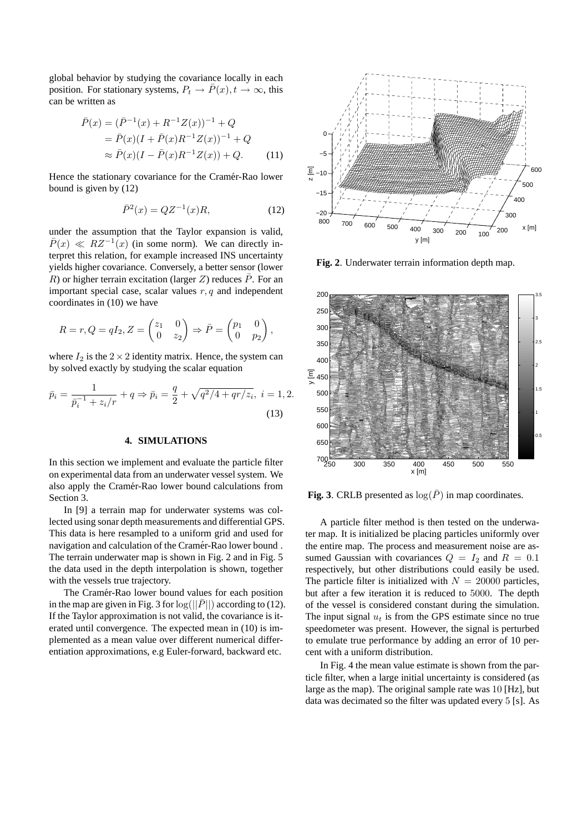global behavior by studying the covariance locally in each position. For stationary systems,  $P_t \to \overline{P}(x)$ ,  $t \to \infty$ , this can be written as

$$
\bar{P}(x) = (\bar{P}^{-1}(x) + R^{-1}Z(x))^{-1} + Q
$$
  
=  $\bar{P}(x)(I + \bar{P}(x)R^{-1}Z(x))^{-1} + Q$   
 $\approx \bar{P}(x)(I - \bar{P}(x)R^{-1}Z(x)) + Q.$  (11)

Hence the stationary covariance for the Cramér-Rao lower bound is given by (12)

$$
\bar{P}^2(x) = QZ^{-1}(x)R,\t(12)
$$

under the assumption that the Taylor expansion is valid,  $\overline{P}(x) \ll RZ^{-1}(x)$  (in some norm). We can directly interpret this relation, for example increased INS uncertainty yields higher covariance. Conversely, a better sensor (lower R) or higher terrain excitation (larger Z) reduces  $\bar{P}$ . For an important special case, scalar values  $r, q$  and independent coordinates in (10) we have

$$
R = r, Q = qI_2, Z = \begin{pmatrix} z_1 & 0 \\ 0 & z_2 \end{pmatrix} \Rightarrow \overline{P} = \begin{pmatrix} p_1 & 0 \\ 0 & p_2 \end{pmatrix},
$$

where  $I_2$  is the  $2 \times 2$  identity matrix. Hence, the system can by solved exactly by studying the scalar equation

$$
\bar{p}_i = \frac{1}{\bar{p}_i^{-1} + z_i/r} + q \Rightarrow \bar{p}_i = \frac{q}{2} + \sqrt{q^2/4 + qr/z_i}, \ i = 1, 2.
$$
\n(13)

#### **4. SIMULATIONS**

In this section we implement and evaluate the particle filter on experimental data from an underwater vessel system. We also apply the Cramér-Rao lower bound calculations from Section 3.

In [9] a terrain map for underwater systems was collected using sonar depth measurements and differential GPS. This data is here resampled to a uniform grid and used for navigation and calculation of the Cramér-Rao lower bound. The terrain underwater map is shown in Fig. 2 and in Fig. 5 the data used in the depth interpolation is shown, together with the vessels true trajectory.

The Cramér-Rao lower bound values for each position in the map are given in Fig. 3 for  $log(||\bar{P}||)$  according to (12). If the Taylor approximation is not valid, the covariance is iterated until convergence. The expected mean in (10) is implemented as a mean value over different numerical differentiation approximations, e.g Euler-forward, backward etc.



**Fig. 2**. Underwater terrain information depth map.



**Fig. 3**. CRLB presented as  $log(\overline{P})$  in map coordinates.

A particle filter method is then tested on the underwater map. It is initialized be placing particles uniformly over the entire map. The process and measurement noise are assumed Gaussian with covariances  $Q = I_2$  and  $R = 0.1$ respectively, but other distributions could easily be used. The particle filter is initialized with  $N = 20000$  particles, but after a few iteration it is reduced to 5000. The depth of the vessel is considered constant during the simulation. The input signal  $u_t$  is from the GPS estimate since no true speedometer was present. However, the signal is perturbed to emulate true performance by adding an error of 10 percent with a uniform distribution.

In Fig. 4 the mean value estimate is shown from the particle filter, when a large initial uncertainty is considered (as large as the map). The original sample rate was 10 [Hz], but data was decimated so the filter was updated every 5 [s]. As